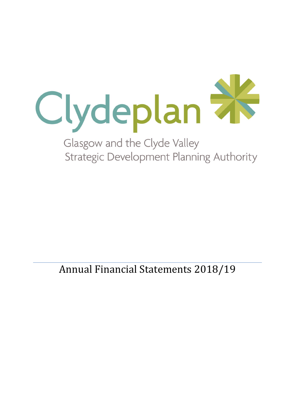

**Strategic Development Planning Authority** 

Annual Financial Statements 2018/19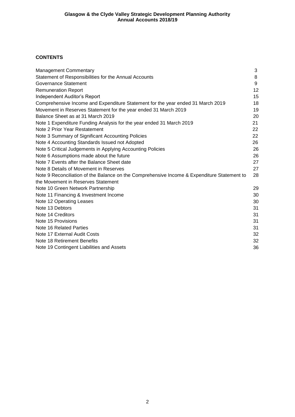## **CONTENTS**

| <b>Management Commentary</b>                                                                | 3  |
|---------------------------------------------------------------------------------------------|----|
| Statement of Responsibilities for the Annual Accounts                                       | 8  |
| Governance Statement                                                                        | 9  |
| <b>Remuneration Report</b>                                                                  | 12 |
| Independent Auditor's Report                                                                | 15 |
| Comprehensive Income and Expenditure Statement for the year ended 31 March 2019             | 18 |
| Movement in Reserves Statement for the year ended 31 March 2019                             | 19 |
| Balance Sheet as at 31 March 2019                                                           | 20 |
| Note 1 Expenditure Funding Analysis for the year ended 31 March 2019                        | 21 |
| Note 2 Prior Year Restatement                                                               | 22 |
| Note 3 Summary of Significant Accounting Policies                                           | 22 |
| Note 4 Accounting Standards Issued not Adopted                                              | 26 |
| Note 5 Critical Judgements in Applying Accounting Policies                                  | 26 |
| Note 6 Assumptions made about the future                                                    | 26 |
| Note 7 Events after the Balance Sheet date                                                  | 27 |
| Note 8 Details of Movement in Reserves                                                      | 27 |
| Note 9 Reconciliation of the Balance on the Comprehensive Income & Expenditure Statement to | 28 |
| the Movement in Reserves Statement                                                          |    |
| Note 10 Green Network Partnership                                                           | 29 |
| Note 11 Financing & Investment Income                                                       | 30 |
| Note 12 Operating Leases                                                                    | 30 |
| Note 13 Debtors                                                                             | 31 |
| Note 14 Creditors                                                                           | 31 |
| Note 15 Provisions                                                                          | 31 |
| Note 16 Related Parties                                                                     | 31 |
| Note 17 External Audit Costs                                                                | 32 |
| Note 18 Retirement Benefits                                                                 | 32 |
| Note 19 Contingent Liabilities and Assets                                                   | 36 |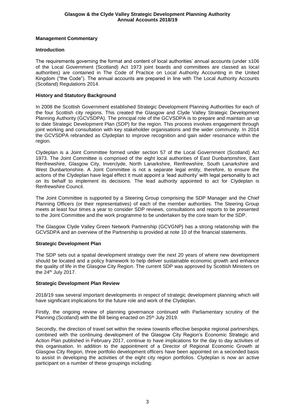## **Management Commentary**

## **Introduction**

The requirements governing the format and content of local authorities' annual accounts (under s106 of the Local Government (Scotland) Act 1973 joint boards and committees are classed as local authorities) are contained in The Code of Practice on Local Authority Accounting in the United Kingdom ("the Code"). The annual accounts are prepared in line with The Local Authority Accounts (Scotland) Regulations 2014.

## **History and Statutory Background**

In 2008 the Scottish Government established Strategic Development Planning Authorities for each of the four Scottish city regions. This created the Glasgow and Clyde Valley Strategic Development Planning Authority (GCVSDPA). The principal role of the GCVSDPA is to prepare and maintain an up to date Strategic Development Plan (SDP) for the region. This process involves engagement through joint working and consultation with key stakeholder organisations and the wider community. In 2014 the GCVSDPA rebranded as Clydeplan to improve recognition and gain wider resonance within the region.

Clydeplan is a Joint Committee formed under section 57 of the Local Government (Scotland) Act 1973. The Joint Committee is comprised of the eight local authorities of East Dunbartonshire, East Renfrewshire, Glasgow City, Inverclyde, North Lanarkshire, Renfrewshire, South Lanarkshire and West Dunbartonshire. A Joint Committee is not a separate legal entity, therefore, to ensure the actions of the Clydeplan have legal effect it must appoint a 'lead authority' with legal personality to act on its behalf to implement its decisions. The lead authority appointed to act for Clydeplan is Renfrewshire Council.

The Joint Committee is supported by a Steering Group comprising the SDP Manager and the Chief Planning Officers (or their representatives) of each of the member authorities. The Steering Group meets at least four times a year to consider SDP reviews, consultations and reports to be presented to the Joint Committee and the work programme to be undertaken by the core team for the SDP.

The Glasgow Clyde Valley Green Network Partnership (GCVGNP) has a strong relationship with the GCVSDPA and an overview of the Partnership is provided at note 10 of the financial statements.

## **Strategic Development Plan**

The SDP sets out a spatial development strategy over the next 20 years of where new development should be located and a policy framework to help deliver sustainable economic growth and enhance the quality of life in the Glasgow City Region. The current SDP was approved by Scottish Ministers on the  $24<sup>th</sup>$  July 2017.

## **Strategic Development Plan Review**

2018/19 saw several important developments in respect of strategic development planning which will have significant implications for the future role and work of the Clydeplan.

Firstly, the ongoing review of planning governance continued with Parliamentary scrutiny of the Planning (Scotland) with the Bill being enacted on 25<sup>th</sup> July 2019.

Secondly, the direction of travel set within the review towards effective bespoke regional partnerships, combined with the continuing development of the Glasgow City Region's Economic Strategic and Action Plan published in February 2017, continue to have implications for the day to day activities of this organisation. In addition to the appointment of a Director of Regional Economic Growth at Glasgow City Region, three portfolio development officers have been appointed on a seconded basis to assist in developing the activities of the eight city region portfolios. Clydeplan is now an active participant on a number of these groupings including: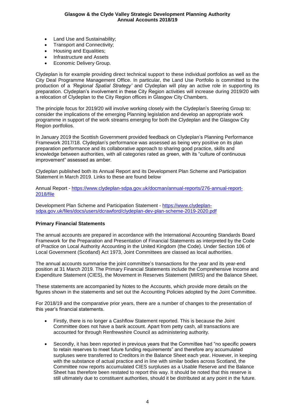- Land Use and Sustainability;
- Transport and Connectivity;
- Housing and Equalities;
- Infrastructure and Assets
- Economic Delivery Group.

Clydeplan is for example providing direct technical support to these individual portfolios as well as the City Deal Programme Management Office. In particular, the Land Use Portfolio is committed to the production of a *'Regional Spatial Strategy'* and Clydeplan will play an active role in supporting its preparation. Clydeplan's involvement in these City Region activities will increase during 2019/20 with a relocation of Clydeplan to the City Region offices in Glasgow City Chambers.

The principle focus for 2019/20 will involve working closely with the Clydeplan's Steering Group to: consider the implications of the emerging Planning legislation and develop an appropriate work programme in support of the work streams emerging for both the Clydeplan and the Glasgow City Region portfolios.

In January 2019 the Scottish Government provided feedback on Clydeplan's Planning Performance Framework 2017/18. Clydeplan's performance was assessed as being very positive on its plan preparation performance and its collaborative approach to sharing good practice, skills and knowledge between authorities, with all categories rated as green, with its "culture of continuous improvement" assessed as amber.

Clydeplan published both its Annual Report and its Development Plan Scheme and Participation Statement in March 2019. Links to these are found below

Annual Report - [https://www.clydeplan-sdpa.gov.uk/docman/annual-reports/276-annual-report-](https://www.clydeplan-sdpa.gov.uk/docman/annual-reports/276-annual-report-2018/file)[2018/file](https://www.clydeplan-sdpa.gov.uk/docman/annual-reports/276-annual-report-2018/file)

Development Plan Scheme and Participation Statement - [https://www.clydeplan](https://www.clydeplan-sdpa.gov.uk/files/docs/users/dcrawford/clydeplan-dev-plan-scheme-2019-2020.pdf)[sdpa.gov.uk/files/docs/users/dcrawford/clydeplan-dev-plan-scheme-2019-2020.pdf](https://www.clydeplan-sdpa.gov.uk/files/docs/users/dcrawford/clydeplan-dev-plan-scheme-2019-2020.pdf)

## **Primary Financial Statements**

The annual accounts are prepared in accordance with the International Accounting Standards Board Framework for the Preparation and Presentation of Financial Statements as interpreted by the Code of Practice on Local Authority Accounting in the United Kingdom (the Code). Under Section 106 of Local Government (Scotland) Act 1973, Joint Committees are classed as local authorities.

The annual accounts summarise the joint committee's transactions for the year and its year-end position at 31 March 2019. The Primary Financial Statements include the Comprehensive Income and Expenditure Statement (CIES), the Movement in Reserves Statement (MIRS) and the Balance Sheet.

These statements are accompanied by Notes to the Accounts, which provide more details on the figures shown in the statements and set out the Accounting Policies adopted by the Joint Committee.

For 2018/19 and the comparative prior years, there are a number of changes to the presentation of this year's financial statements.

- Firstly, there is no longer a Cashflow Statement reported. This is because the Joint Committee does not have a bank account. Apart from petty cash, all transactions are accounted for through Renfrewshire Council as administering authority.
- Secondly, it has been reported in previous years that the Committee had "no specific powers to retain reserves to meet future funding requirements" and therefore any accumulated surpluses were transferred to Creditors in the Balance Sheet each year. However, in keeping with the substance of actual practice and in line with similar bodies across Scotland, the Committee now reports accumulated CIES surpluses as a Usable Reserve and the Balance Sheet has therefore been restated to report this way. It should be noted that this reserve is still ultimately due to constituent authorities, should it be distributed at any point in the future.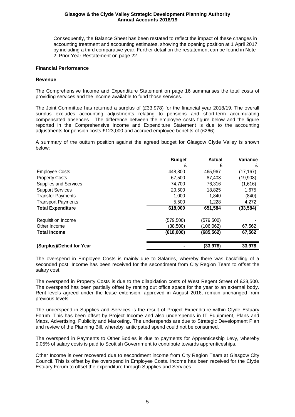Consequently, the Balance Sheet has been restated to reflect the impact of these changes in accounting treatment and accounting estimates, showing the opening position at 1 April 2017 by including a third comparative year. Further detail on the restatement can be found in Note 2: Prior Year Restatement on page 22.

#### **Financial Performance**

#### **Revenue**

The Comprehensive Income and Expenditure Statement on page 16 summarises the total costs of providing services and the income available to fund those services.

The Joint Committee has returned a surplus of (£33,978) for the financial year 2018/19. The overall surplus excludes accounting adjustments relating to pensions and short-term accumulating compensated absences. The difference between the employee costs figure below and the figure reported in the Comprehensive Income and Expenditure Statement is due to the accounting adjustments for pension costs £123,000 and accrued employee benefits of (£266).

A summary of the outturn position against the agreed budget for Glasgow Clyde Valley is shown below:

|                              | <b>Budget</b> | Actual     | Variance  |
|------------------------------|---------------|------------|-----------|
|                              | £             | £          | £         |
| <b>Employee Costs</b>        | 448,800       | 465,967    | (17, 167) |
| <b>Property Costs</b>        | 67,500        | 87,408     | (19,908)  |
| <b>Supplies and Services</b> | 74,700        | 76,316     | (1,616)   |
| <b>Support Services</b>      | 20,500        | 18,825     | 1,675     |
| <b>Transfer Payments</b>     | 1,000         | 1,840      | (840)     |
| <b>Transport Payments</b>    | 5,500         | 1,228      | 4,272     |
| <b>Total Expenditure</b>     | 618,000       | 651,584    | (33, 584) |
| <b>Requisition Income</b>    | (579,500)     | (579,500)  |           |
| Other Income                 | (38,500)      | (106,062)  | 67,562    |
| <b>Total Income</b>          | (618,000)     | (685, 562) | 67,562    |
| (Surplus)/Deficit for Year   |               | (33,978)   | 33,978    |

The overspend in Employee Costs is mainly due to Salaries, whereby there was backfilling of a seconded post. Income has been received for the secondment from City Region Team to offset the salary cost.

The overspend in Property Costs is due to the dilapidation costs of West Regent Street of £28,500. The overspend has been partially offset by renting out office space for the year to an external body. Rent levels agreed under the lease extension, approved in August 2016, remain unchanged from previous levels.

The underspend in Supplies and Services is the result of Project Expenditure within Clyde Estuary Forum. This has been offset by Project Income and also underspends in IT Equipment, Plans and Maps, Advertising, Publicity and Marketing. The underspends are due to Strategic Development Plan and review of the Planning Bill, whereby, anticipated spend could not be consumed.

The overspend in Payments to Other Bodies is due to payments for Apprenticeship Levy, whereby 0.05% of salary costs is paid to Scottish Government to contribute towards apprenticeships.

Other Income is over recovered due to secondment income from City Region Team at Glasgow City Council. This is offset by the overspend in Employee Costs. Income has been received for the Clyde Estuary Forum to offset the expenditure through Supplies and Services.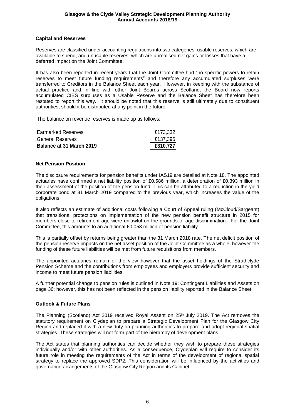### **Capital and Reserves**

Reserves are classified under accounting regulations into two categories: usable reserves, which are available to spend; and unusable reserves, which are unrealised net gains or losses that have a deferred impact on the Joint Committee.

It has also been reported in recent years that the Joint Committee had "no specific powers to retain reserves to meet future funding requirements" and therefore any accumulated surpluses were transferred to Creditors in the Balance Sheet each year. However, in keeping with the substance of actual practice and in line with other Joint Boards across Scotland, the Board now reports accumulated CIES surpluses as a Usable Reserve and the Balance Sheet has therefore been restated to report this way. It should be noted that this reserve is still ultimately due to constituent authorities, should it be distributed at any point in the future.

The balance on revenue reserves is made up as follows:

| <b>Balance at 31 March 2019</b> | £310,727 |
|---------------------------------|----------|
| General Reserves                | £137,395 |
| <b>Earmarked Reserves</b>       | £173,332 |

#### **Net Pension Position**

The disclosure requirements for pension benefits under IAS19 are detailed at Note 18. The appointed actuaries have confirmed a net liability position of £0.586 million, a deterioration of £0.393 million in their assessment of the position of the pension fund. This can be attributed to a reduction in the yield corporate bond at 31 March 2019 compared to the previous year, which increases the value of the obligations.

It also reflects an estimate of additional costs following a Court of Appeal ruling (McCloud/Sargeant) that transitional protections on implementation of the new pension benefit structure in 2015 for members close to retirement age were unlawful on the grounds of age discrimination. For the Joint Committee, this amounts to an additional £0.058 million of pension liability.

This is partially offset by returns being greater than the 31 March 2018 rate. The net deficit position of the pension reserve impacts on the net asset position of the Joint Committee as a whole, however the funding of these future liabilities will be met from future requisitions from members.

The appointed actuaries remain of the view however that the asset holdings of the Strathclyde Pension Scheme and the contributions from employees and employers provide sufficient security and income to meet future pension liabilities.

A further potential change to pension rules is outlined in Note 19: Contingent Liabilities and Assets on page 36; however, this has not been reflected in the pension liability reported in the Balance Sheet.

## **Outlook & Future Plans**

The Planning (Scotland) Act 2019 received Royal Assent on 25th July 2019. The Act removes the statutory requirement on Clydeplan to prepare a Strategic Development Plan for the Glasgow City Region and replaced it with a new duty on planning authorities to prepare and adopt regional spatial strategies. These strategies will not form part of the hierarchy of development plans.

The Act states that planning authorities can decide whether they wish to prepare these strategies individually and/or with other authorities. As a consequence, Clydeplan will require to consider its future role in meeting the requirements of the Act in terms of the development of regional spatial strategy to replace the approved SDP2. This consideration will be influenced by the activities and governance arrangements of the Glasgow City Region and its Cabinet.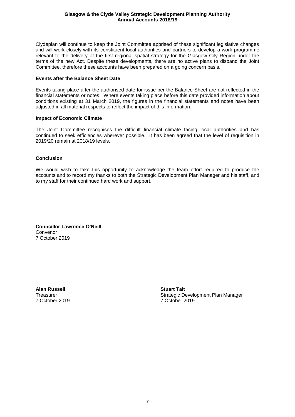Clydeplan will continue to keep the Joint Committee apprised of these significant legislative changes and will work closely with its constituent local authorities and partners to develop a work programme relevant to the delivery of the first regional spatial strategy for the Glasgow City Region under the terms of the new Act. Despite these developments, there are no active plans to disband the Joint Committee, therefore these accounts have been prepared on a going concern basis.

### **Events after the Balance Sheet Date**

Events taking place after the authorised date for issue per the Balance Sheet are not reflected in the financial statements or notes. Where events taking place before this date provided information about conditions existing at 31 March 2019, the figures in the financial statements and notes have been adjusted in all material respects to reflect the impact of this information.

#### **Impact of Economic Climate**

The Joint Committee recognises the difficult financial climate facing local authorities and has continued to seek efficiencies wherever possible. It has been agreed that the level of requisition in 2019/20 remain at 2018/19 levels.

#### **Conclusion**

We would wish to take this opportunity to acknowledge the team effort required to produce the accounts and to record my thanks to both the Strategic Development Plan Manager and his staff, and to my staff for their continued hard work and support.

**Councillor Lawrence O'Neill** Convenor 7 October 2019

**Alan Russell Stuart Tait** 7 October 2019 7 October 2019

Treasurer Strategic Development Plan Manager<br>Theasurer Strategic Development Plan Manager<br>Theasurer Strategic Development Plan Manager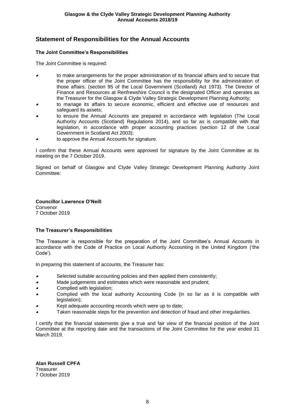# **Statement of Responsibilities for the Annual Accounts**

## **The Joint Committee's Responsibilities**

The Joint Committee is required:

- • to make arrangements for the proper administration of its financial affairs and to secure that the proper officer of the Joint Committee has the responsibility for the administration of those affairs. (section 95 of the Local Government (Scotland) Act 1973). The Director of Finance and Resources at Renfrewshire Council is the designated Officer and operates as the Treasurer for the Glasgow & Clyde Valley Strategic Development Planning Authority;
- • to manage its affairs to secure economic, efficient and effective use of resources and safeguard its assets;
- • to ensure the Annual Accounts are prepared in accordance with legislation (The Local Authority Accounts (Scotland) Regulations 2014), and so far as is compatible with that legislation, in accordance with proper accounting practices (section 12 of the Local Government in Scotland Act 2003);
- •to approve the Annual Accounts for signature.

I confirm that these Annual Accounts were approved for signature by the Joint Committee at its meeting on the 7 October 2019.

Signed on behalf of Glasgow and Clyde Valley Strategic Development Planning Authority Joint Committee:

**Councillor Lawrence O'Neill** Convenor 7 October 2019

## **The Treasurer's Responsibilities**

The Treasurer is responsible for the preparation of the Joint Committee's Annual Accounts in accordance with the Code of Practice on Local Authority Accounting in the United Kingdom ('the Code').

In preparing this statement of accounts, the Treasurer has:

- •Selected suitable accounting policies and then applied them consistently;
- •Made judgements and estimates which were reasonable and prudent;
- •Complied with legislation;
- • Complied with the local authority Accounting Code (in so far as it is compatible with legislation);
- •Kept adequate accounting records which were up to date;
- •Taken reasonable steps for the prevention and detection of fraud and other irregularities.

I certify that the financial statements give a true and fair view of the financial position of the Joint Committee at the reporting date and the transactions of the Joint Committee for the year ended 31 March 2019.

**Alan Russell CPFA Treasurer** 7 October 2019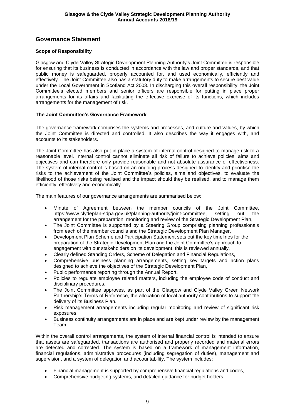# **Governance Statement**

## **Scope of Responsibility**

Glasgow and Clyde Valley Strategic Development Planning Authority's Joint Committee is responsible for ensuring that its business is conducted in accordance with the law and proper standards, and that public money is safeguarded, properly accounted for, and used economically, efficiently and effectively. The Joint Committee also has a statutory duty to make arrangements to secure best value under the Local Government in Scotland Act 2003. In discharging this overall responsibility, the Joint Committee's elected members and senior officers are responsible for putting in place proper arrangements for its affairs and facilitating the effective exercise of its functions, which includes arrangements for the management of risk.

## **The Joint Committee's Governance Framework**

The governance framework comprises the systems and processes, and culture and values, by which the Joint Committee is directed and controlled. It also describes the way it engages with, and accounts to its stakeholders.

The Joint Committee has also put in place a system of internal control designed to manage risk to a reasonable level. Internal control cannot eliminate all risk of failure to achieve policies, aims and objectives and can therefore only provide reasonable and not absolute assurance of effectiveness. The system of internal control is based on an ongoing process designed to identify and prioritise the risks to the achievement of the Joint Committee's policies, aims and objectives, to evaluate the likelihood of those risks being realised and the impact should they be realised, and to manage them efficiently, effectively and economically.

The main features of our governance arrangements are summarised below:

- Minute of Agreement between the member councils of the Joint Committee, [https://www.clydeplan-sdpa.gov.uk/planning-authority/joint-committee,](https://www.clydeplan-sdpa.gov.uk/planning-authority/joint-committee) setting out the arrangement for the preparation, monitoring and review of the Strategic Development Plan,
- The Joint Committee is supported by a Steering Group comprising planning professionals from each of the member councils and the Strategic Development Plan Manager,
- Development Plan Scheme and Participation Statement sets out the key timelines for the preparation of the Strategic Development Plan and the Joint Committee's approach to engagement with our stakeholders on its development, this is reviewed annually,
- Clearly defined Standing Orders, Scheme of Delegation and Financial Regulations,
- Comprehensive business planning arrangements, setting key targets and action plans designed to achieve the objectives of the Strategic Development Plan,
- Public performance reporting through the Annual Report,
- Policies to regulate employee related matters, including the employee code of conduct and disciplinary procedures.
- The Joint Committee approves, as part of the Glasgow and Clyde Valley Green Network Partnership's Terms of Reference, the allocation of local authority contributions to support the delivery of its Business Plan.
- Risk management arrangements including regular monitoring and review of significant risk exposures.
- Business continuity arrangements are in place and are kept under review by the management Team.

Within the overall control arrangements, the system of internal financial control is intended to ensure that assets are safeguarded, transactions are authorised and properly recorded and material errors are detected and corrected. The system is based on a framework of management information, financial regulations, administrative procedures (including segregation of duties), management and supervision, and a system of delegation and accountability. The system includes:

- Financial management is supported by comprehensive financial regulations and codes,
- Comprehensive budgeting systems, and detailed guidance for budget holders,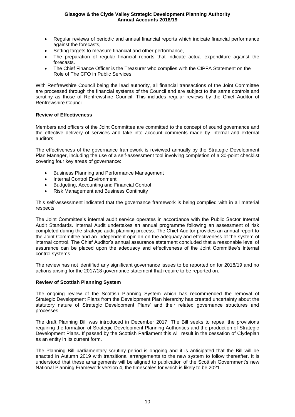- Regular reviews of periodic and annual financial reports which indicate financial performance against the forecasts,
- Setting targets to measure financial and other performance,
- The preparation of regular financial reports that indicate actual expenditure against the forecasts.
- The Chief Finance Officer is the Treasurer who complies with the CIPFA Statement on the Role of The CFO in Public Services.

With Renfrewshire Council being the lead authority, all financial transactions of the Joint Committee are processed through the financial systems of the Council and are subject to the same controls and scrutiny as those of Renfrewshire Council. This includes regular reviews by the Chief Auditor of Renfrewshire Council.

#### **Review of Effectiveness**

Members and officers of the Joint Committee are committed to the concept of sound governance and the effective delivery of services and take into account comments made by internal and external auditors.

The effectiveness of the governance framework is reviewed annually by the Strategic Development Plan Manager, including the use of a self-assessment tool involving completion of a 30-point checklist covering four key areas of governance:

- Business Planning and Performance Management
- Internal Control Environment
- Budgeting, Accounting and Financial Control
- Risk Management and Business Continuity

This self-assessment indicated that the governance framework is being complied with in all material respects.

The Joint Committee's internal audit service operates in accordance with the Public Sector Internal Audit Standards. Internal Audit undertakes an annual programme following an assessment of risk completed during the strategic audit planning process. The Chief Auditor provides an annual report to the Joint Committee and an independent opinion on the adequacy and effectiveness of the system of internal control. The Chief Auditor's annual assurance statement concluded that a reasonable level of assurance can be placed upon the adequacy and effectiveness of the Joint Committee's internal control systems.

The review has not identified any significant governance issues to be reported on for 2018/19 and no actions arising for the 2017/18 governance statement that require to be reported on.

#### **Review of Scottish Planning System**

The ongoing review of the Scottish Planning System which has recommended the removal of Strategic Development Plans from the Development Plan hierarchy has created uncertainty about the statutory nature of Strategic Development Plans' and their related governance structures and processes.

The draft Planning Bill was introduced in December 2017. The Bill seeks to repeal the provisions requiring the formation of Strategic Development Planning Authorities and the production of Strategic Development Plans. If passed by the Scottish Parliament this will result in the cessation of Clydeplan as an entity in its current form.

The Planning Bill parliamentary scrutiny period is ongoing and it is anticipated that the Bill will be enacted in Autumn 2019 with transitional arrangements to the new system to follow thereafter. It is understood that these arrangements will be aligned to publication of the Scottish Government's new National Planning Framework version 4, the timescales for which is likely to be 2021.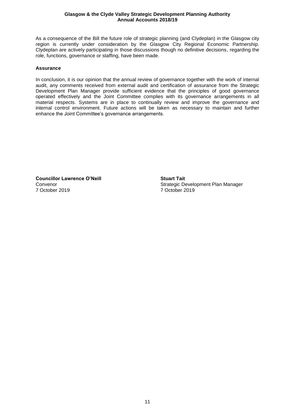As a consequence of the Bill the future role of strategic planning (and Clydeplan) in the Glasgow city region is currently under consideration by the Glasgow City Regional Economic Partnership. Clydeplan are actively participating in those discussions though no definitive decisions, regarding the role, functions, governance or staffing, have been made.

#### **Assurance**

In conclusion, it is our opinion that the annual review of governance together with the work of internal audit, any comments received from external audit and certification of assurance from the Strategic Development Plan Manager provide sufficient evidence that the principles of good governance operated effectively and the Joint Committee complies with its governance arrangements in all material respects. Systems are in place to continually review and improve the governance and internal control environment. Future actions will be taken as necessary to maintain and further enhance the Joint Committee's governance arrangements.

**Councillor Lawrence O'Neill Stuart Tait** 7 October 2019 7 October 2019

Convenor Convenor Conventer Conventer Conventer Strategic Development Plan Manager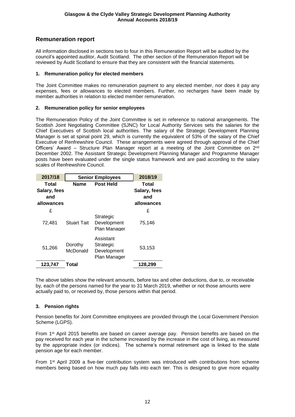# **Remuneration report**

All information disclosed in sections two to four in this Remuneration Report will be audited by the council's appointed auditor, Audit Scotland. The other section of the Remuneration Report will be reviewed by Audit Scotland to ensure that they are consistent with the financial statements.

## **1. Remuneration policy for elected members**

The Joint Committee makes no remuneration payment to any elected member, nor does it pay any expenses, fees or allowances to elected members. Further, no recharges have been made by member authorities in relation to elected member remuneration.

## **2. Remuneration policy for senior employees**

The Remuneration Policy of the Joint Committee is set in reference to national arrangements. The Scottish Joint Negotiating Committee (SJNC) for Local Authority Services sets the salaries for the Chief Executives of Scottish local authorities. The salary of the Strategic Development Planning Manager is set at spinal point 29, which is currently the equivalent of 53% of the salary of the Chief Executive of Renfrewshire Council. These arrangements were agreed through approval of the Chief Officers' Award - Structure Plan Manager report at a meeting of the Joint Committee on 2<sup>nd</sup> December 2002. The Assistant Strategic Development Planning Manager and Programme Manager posts have been evaluated under the single status framework and are paid according to the salary scales of Renfrewshire Council.

| 2017/18                                    |                     | <b>Senior Employees</b>                               | 2018/19                                    |
|--------------------------------------------|---------------------|-------------------------------------------------------|--------------------------------------------|
| Total<br>Salary, fees<br>and<br>allowances | <b>Name</b>         | <b>Post Held</b>                                      | Total<br>Salary, fees<br>and<br>allowances |
| £                                          |                     |                                                       | £                                          |
| 72,481                                     | <b>Stuart Tait</b>  | Strategic<br>Development<br>Plan Manager              | 75,146                                     |
| 51,266                                     | Dorothy<br>McDonald | Assistant<br>Strategic<br>Development<br>Plan Manager | 53,153                                     |
| 123,747                                    | Total               |                                                       | 128,299                                    |

The above tables show the relevant amounts, before tax and other deductions, due to, or receivable by, each of the persons named for the year to 31 March 2019, whether or not those amounts were actually paid to, or received by, those persons within that period.

## **3. Pension rights**

Pension benefits for Joint Committee employees are provided through the Local Government Pension Scheme (LGPS).

From 1st April 2015 benefits are based on career average pay. Pension benefits are based on the pay received for each year in the scheme increased by the increase in the cost of living, as measured by the appropriate index (or indices). The scheme's normal retirement age is linked to the state pension age for each member.

From 1st April 2009 a five-tier contribution system was introduced with contributions from scheme members being based on how much pay falls into each tier. This is designed to give more equality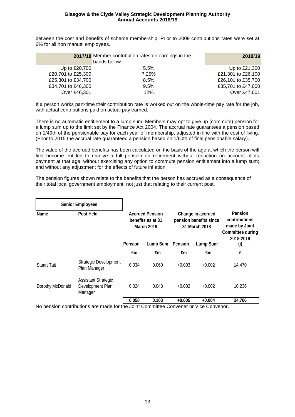between the cost and benefits of scheme membership. Prior to 2009 contributions rates were set at 6% for all non manual employees.

|                    | 2017/18 Member contribution rates on earnings in the<br>bands below | 2018/19            |
|--------------------|---------------------------------------------------------------------|--------------------|
| Up to £20,700      | $5.5\%$                                                             | Up to £21,300      |
| £20,701 to £25,300 | 7.25%                                                               | £21,301 to £26,100 |
| £25,301 to £34,700 | 8.5%                                                                | £26,101 to £35,700 |
| £34,701 to £46,300 | 9.5%                                                                | £35,701 to £47,600 |
| Over £46,301       | 12%                                                                 | Over £47,601       |

If a person works part-time their contribution rate is worked out on the whole-time pay rate for the job, with actual contributions paid on actual pay earned.

There is no automatic entitlement to a lump sum. Members may opt to give up (commute) pension for a lump sum up to the limit set by the Finance Act 2004. The accrual rate guarantees a pension based on 1/49th of the pensionable pay for each year of membership, adjusted in line with the cost of living. (Prior to 2015 the accrual rate guaranteed a pension based on 1/60th of final pensionable salary).

The value of the accrued benefits has been calculated on the basis of the age at which the person will first become entitled to receive a full pension on retirement without reduction on account of its payment at that age; without exercising any option to commute pension entitlement into a lump sum; and without any adjustment for the effects of future inflation.

The pension figures shown relate to the benefits that the person has accrued as a consequence of their total local government employment, not just that relating to their current post.

|                          | <b>Senior Employees</b>                                   |                                                                  |                 |                |                                                              |                                                                                          |  |
|--------------------------|-----------------------------------------------------------|------------------------------------------------------------------|-----------------|----------------|--------------------------------------------------------------|------------------------------------------------------------------------------------------|--|
| Post Held<br><b>Name</b> |                                                           | <b>Accrued Pension</b><br>benefits as at 31<br><b>March 2019</b> |                 |                | Change in accrued<br>pension benefits since<br>31 March 2018 | <b>Pension</b><br>contributions<br>made by Joint<br><b>Committee during</b><br>2018-2019 |  |
|                          |                                                           | <b>Pension</b>                                                   | <b>Lump Sum</b> | <b>Pension</b> | <b>Lump Sum</b>                                              | (i)                                                                                      |  |
|                          |                                                           | £m                                                               | £m              | £m             | £m                                                           | £                                                                                        |  |
| <b>Stuart Tait</b>       | <b>Strategic Development</b><br>Plan Manager              | 0.034                                                            | 0.060           | $+0.003$       | $+0.002$                                                     | 14,470                                                                                   |  |
| Dorothy McDonald         | <b>Assistant Strategic</b><br>Development Plan<br>Manager | 0.024                                                            | 0.043           | $+0.002$       | $+0.002$                                                     | 10,236                                                                                   |  |
|                          |                                                           | 0.058                                                            | 0.103           | $+0.005$       | $+0.004$                                                     | 24,706                                                                                   |  |

No pension contributions are made for the Joint Committee Convener or Vice Convenor.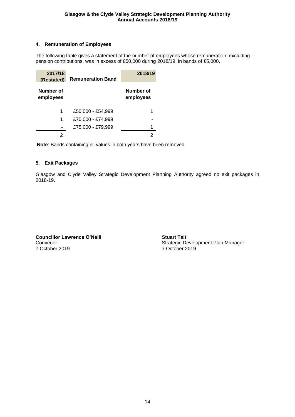## **4. Remuneration of Employees**

The following table gives a statement of the number of employees whose remuneration, excluding pension contributions, was in excess of £50,000 during 2018/19, in bands of £5,000.

| 2017/18<br>(Restated)  | <b>Remuneration Band</b> | 2018/19                |
|------------------------|--------------------------|------------------------|
| Number of<br>employees |                          | Number of<br>employees |
| 1                      | £50,000 - £54,999        | 1                      |
| 1                      | £70,000 - £74,999        |                        |
|                        | £75,000 - £79,999        |                        |
|                        |                          | 2                      |

**Note**: Bands containing nil values in both years have been removed

## **5. Exit Packages**

Glasgow and Clyde Valley Strategic Development Planning Authority agreed no exit packages in 2018-19.

**Councillor Lawrence O'Neill Stuart** Tait 7 October 2019 7 October 2019

Convenor Convenor Convenor<br>
T October 2019<br>
T October 2019<br>
T October 2019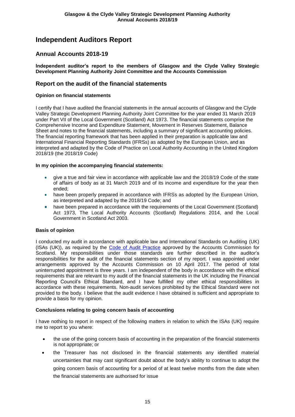# **Independent Auditors Report**

## **Annual Accounts 2018-19**

**Independent auditor's report to the members of Glasgow and the Clyde Valley Strategic Development Planning Authority Joint Committee and the Accounts Commission**

## **Report on the audit of the financial statements**

### **Opinion on financial statements**

I certify that I have audited the financial statements in the annual accounts of Glasgow and the Clyde Valley Strategic Development Planning Authority Joint Committee for the year ended 31 March 2019 under Part VII of the Local Government (Scotland) Act 1973. The financial statements comprise the Comprehensive Income and Expenditure Statement, Movement in Reserves Statement, Balance Sheet and notes to the financial statements, including a summary of significant accounting policies. The financial reporting framework that has been applied in their preparation is applicable law and International Financial Reporting Standards (IFRSs) as adopted by the European Union, and as interpreted and adapted by the Code of Practice on Local Authority Accounting in the United Kingdom 2018/19 (the 2018/19 Code)

#### **In my opinion the accompanying financial statements:**

- give a true and fair view in accordance with applicable law and the 2018/19 Code of the state of affairs of body as at 31 March 2019 and of its income and expenditure for the year then ended;
- have been properly prepared in accordance with IFRSs as adopted by the European Union, as interpreted and adapted by the 2018/19 Code; and
- have been prepared in accordance with the requirements of the Local Government (Scotland) Act 1973, The Local Authority Accounts (Scotland) Regulations 2014, and the Local Government in Scotland Act 2003.

#### **Basis of opinion**

I conducted my audit in accordance with applicable law and International Standards on Auditing (UK) (ISAs (UK)), as required by the [Code of Audit Practice](http://www.audit-scotland.gov.uk/uploads/docs/report/2016/code_audit_practice_16.pdf) approved by the Accounts Commission for Scotland. My responsibilities under those standards are further described in the auditor's responsibilities for the audit of the financial statements section of my report. I was appointed under arrangements approved by the Accounts Commission on 10 April 2017. The period of total uninterrupted appointment is three years. I am independent of the body in accordance with the ethical requirements that are relevant to my audit of the financial statements in the UK including the Financial Reporting Council's Ethical Standard, and I have fulfilled my other ethical responsibilities in accordance with these requirements. Non-audit services prohibited by the Ethical Standard were not provided to the body. I believe that the audit evidence I have obtained is sufficient and appropriate to provide a basis for my opinion.

## **Conclusions relating to going concern basis of accounting**

I have nothing to report in respect of the following matters in relation to which the ISAs (UK) require me to report to you where:

- the use of the going concern basis of accounting in the preparation of the financial statements is not appropriate; or
- the Treasurer has not disclosed in the financial statements any identified material uncertainties that may cast significant doubt about the body's ability to continue to adopt the going concern basis of accounting for a period of at least twelve months from the date when the financial statements are authorised for issue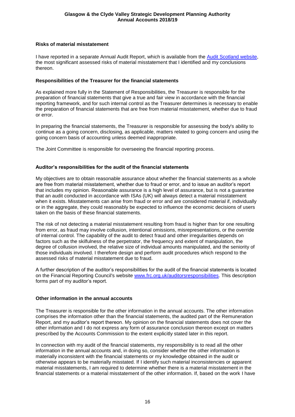### **Risks of material misstatement**

I have reported in a separate Annual Audit Report, which is available from the [Audit Scotland website,](http://www.audit-scotland.gov.uk/our-work/annual-audits) the most significant assessed risks of material misstatement that I identified and my conclusions thereon.

#### **Responsibilities of the Treasurer for the financial statements**

As explained more fully in the Statement of Responsibilities, the Treasurer is responsible for the preparation of financial statements that give a true and fair view in accordance with the financial reporting framework, and for such internal control as the Treasurer determines is necessary to enable the preparation of financial statements that are free from material misstatement, whether due to fraud or error.

In preparing the financial statements, the Treasurer is responsible for assessing the body's ability to continue as a going concern, disclosing, as applicable, matters related to going concern and using the going concern basis of accounting unless deemed inappropriate.

The Joint Committee is responsible for overseeing the financial reporting process.

#### **Auditor's responsibilities for the audit of the financial statements**

My objectives are to obtain reasonable assurance about whether the financial statements as a whole are free from material misstatement, whether due to fraud or error, and to issue an auditor's report that includes my opinion. Reasonable assurance is a high level of assurance, but is not a guarantee that an audit conducted in accordance with ISAs (UK) will always detect a material misstatement when it exists. Misstatements can arise from fraud or error and are considered material if, individually or in the aggregate, they could reasonably be expected to influence the economic decisions of users taken on the basis of these financial statements.

The risk of not detecting a material misstatement resulting from fraud is higher than for one resulting from error, as fraud may involve collusion, intentional omissions, misrepresentations, or the override of internal control. The capability of the audit to detect fraud and other irregularities depends on factors such as the skilfulness of the perpetrator, the frequency and extent of manipulation, the degree of collusion involved, the relative size of individual amounts manipulated, and the seniority of those individuals involved. I therefore design and perform audit procedures which respond to the assessed risks of material misstatement due to fraud.

A further description of the auditor's responsibilities for the audit of the financial statements is located on the Financial Reporting Council's website [www.frc.org.uk/auditorsresponsibilities.](http://www.frc.org.uk/auditorsresponsibilities) This description forms part of my auditor's report.

#### **Other information in the annual accounts**

The Treasurer is responsible for the other information in the annual accounts. The other information comprises the information other than the financial statements, the audited part of the Remuneration Report, and my auditor's report thereon. My opinion on the financial statements does not cover the other information and I do not express any form of assurance conclusion thereon except on matters prescribed by the Accounts Commission to the extent explicitly stated later in this report.

In connection with my audit of the financial statements, my responsibility is to read all the other information in the annual accounts and, in doing so, consider whether the other information is materially inconsistent with the financial statements or my knowledge obtained in the audit or otherwise appears to be materially misstated. If I identify such material inconsistencies or apparent material misstatements, I am required to determine whether there is a material misstatement in the financial statements or a material misstatement of the other information. If, based on the work I have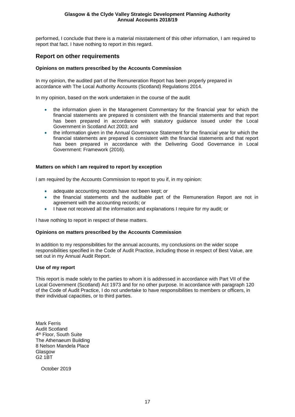performed, I conclude that there is a material misstatement of this other information, I am required to report that fact. I have nothing to report in this regard.

## **Report on other requirements**

## **Opinions on matters prescribed by the Accounts Commission**

In my opinion, the audited part of the Remuneration Report has been properly prepared in accordance with The Local Authority Accounts (Scotland) Regulations 2014.

In my opinion, based on the work undertaken in the course of the audit

- the information given in the Management Commentary for the financial year for which the financial statements are prepared is consistent with the financial statements and that report has been prepared in accordance with statutory guidance issued under the Local Government in Scotland Act 2003; and
- the information given in the Annual Governance Statement for the financial year for which the financial statements are prepared is consistent with the financial statements and that report has been prepared in accordance with the Delivering Good Governance in Local Government: Framework (2016).

## **Matters on which I am required to report by exception**

I am required by the Accounts Commission to report to you if, in my opinion:

- adequate accounting records have not been kept; or
- the financial statements and the auditable part of the Remuneration Report are not in agreement with the accounting records; or
- I have not received all the information and explanations I require for my audit; or

I have nothing to report in respect of these matters.

## **Opinions on matters prescribed by the Accounts Commission**

In addition to my responsibilities for the annual accounts, my conclusions on the wider scope responsibilities specified in the Code of Audit Practice, including those in respect of Best Value, are set out in my Annual Audit Report.

## **Use of my report**

This report is made solely to the parties to whom it is addressed in accordance with Part VII of the Local Government (Scotland) Act 1973 and for no other purpose. In accordance with paragraph 120 of the Code of Audit Practice, I do not undertake to have responsibilities to members or officers, in their individual capacities, or to third parties.

Mark Ferris Audit Scotland 4<sup>th</sup> Floor, South Suite The Athenaeum Building 8 Nelson Mandela Place Glasgow G2 1BT

October 2019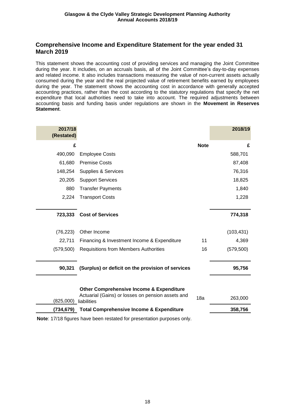## **Comprehensive Income and Expenditure Statement for the year ended 31 March 2019**

This statement shows the accounting cost of providing services and managing the Joint Committee during the year. It includes, on an accruals basis, all of the Joint Committee's day-to-day expenses and related income. It also includes transactions measuring the value of non-current assets actually consumed during the year and the real projected value of retirement benefits earned by employees during the year. The statement shows the accounting cost in accordance with generally accepted accounting practices, rather than the cost according to the statutory regulations that specify the net expenditure that local authorities need to take into account. The required adjustments between accounting basis and funding basis under regulations are shown in the **Movement in Reserves Statement**.

| 2017/18<br>(Restated) |                                                                                                                         |             | 2018/19    |
|-----------------------|-------------------------------------------------------------------------------------------------------------------------|-------------|------------|
| £                     |                                                                                                                         | <b>Note</b> | £          |
| 490,090               | <b>Employee Costs</b>                                                                                                   |             | 588,701    |
| 61,680                | <b>Premise Costs</b>                                                                                                    |             | 87,408     |
| 148,254               | Supplies & Services                                                                                                     |             | 76,316     |
| 20,205                | <b>Support Services</b>                                                                                                 |             | 18,825     |
| 880                   | <b>Transfer Payments</b>                                                                                                |             | 1,840      |
| 2,224                 | <b>Transport Costs</b>                                                                                                  |             | 1,228      |
|                       |                                                                                                                         |             |            |
| 723,333               | <b>Cost of Services</b>                                                                                                 |             | 774,318    |
| (76, 223)             | Other Income                                                                                                            |             | (103, 431) |
| 22,711                | Financing & Investment Income & Expenditure                                                                             | 11          | 4,369      |
| (579, 500)            | <b>Requisitions from Members Authorities</b>                                                                            | 16          | (579, 500) |
|                       |                                                                                                                         |             |            |
| 90,321                | (Surplus) or deficit on the provision of services                                                                       |             | 95,756     |
|                       |                                                                                                                         |             |            |
| (825,000)             | <b>Other Comprehensive Income &amp; Expenditure</b><br>Actuarial (Gains) or losses on pension assets and<br>liabilities | 18a         | 263,000    |
| (734,679)             | <b>Total Comprehensive Income &amp; Expenditure</b>                                                                     |             | 358,756    |

**Note**: 17/18 figures have been restated for presentation purposes only.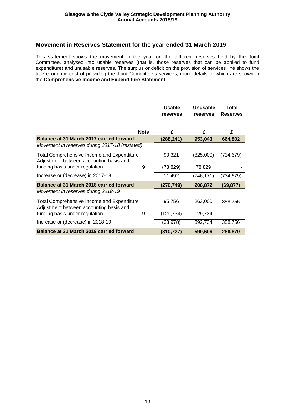## **Movement in Reserves Statement for the year ended 31 March 2019**

This statement shows the movement in the year on the different reserves held by the Joint Committee, analysed into usable reserves (that is, those reserves that can be applied to fund expenditure) and unusable reserves. The surplus or deficit on the provision of services line shows the true economic cost of providing the Joint Committee's services, more details of which are shown in the **Comprehensive Income and Expenditure Statement**.

|                                                                                              |             | <b>Usable</b><br>reserves | <b>Unusable</b><br>reserves | Total<br><b>Reserves</b> |
|----------------------------------------------------------------------------------------------|-------------|---------------------------|-----------------------------|--------------------------|
|                                                                                              | <b>Note</b> | £                         | £                           | £                        |
| <b>Balance at 31 March 2017 carried forward</b>                                              |             | (288, 241)                | 953,043                     | 664,802                  |
| Movement in reserves during 2017-18 (restated)                                               |             |                           |                             |                          |
| <b>Total Comprehensive Income and Expenditure</b><br>Adjustment between accounting basis and |             | 90,321                    | (825,000)                   | (734, 679)               |
| funding basis under regulation                                                               | 9           | (78, 829)                 | 78,829                      |                          |
| Increase or (decrease) in 2017-18                                                            |             | 11,492                    | (746, 171)                  | (734,679)                |
| Balance at 31 March 2018 carried forward                                                     |             | (276, 749)                | 206,872                     | (69, 877)                |
| Movement in reserves during 2018-19                                                          |             |                           |                             |                          |
| <b>Total Comprehensive Income and Expenditure</b><br>Adjustment between accounting basis and |             | 95,756                    | 263,000                     | 358,756                  |
| funding basis under regulation                                                               | 9           | (129,734)                 | 129,734                     |                          |
| Increase or (decrease) in 2018-19                                                            |             | (33, 978)                 | 392,734                     | 358,756                  |
| <b>Balance at 31 March 2019 carried forward</b>                                              |             | (310, 727)                | 599,606                     | 288,879                  |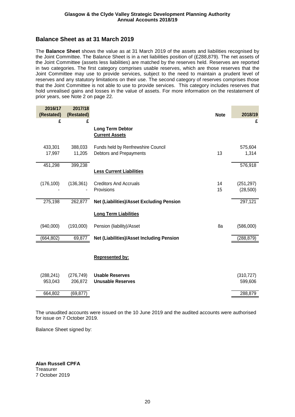## **Balance Sheet as at 31 March 2019**

The **Balance Sheet** shows the value as at 31 March 2019 of the assets and liabilities recognised by the Joint Committee. The Balance Sheet is in a net liabilities position of (£288,879). The net assets of the Joint Committee (assets less liabilities) are matched by the reserves held. Reserves are reported in two categories. The first category comprises usable reserves, which are those reserves that the Joint Committee may use to provide services, subject to the need to maintain a prudent level of reserves and any statutory limitations on their use. The second category of reserves comprises those that the Joint Committee is not able to use to provide services. This category includes reserves that hold unrealised gains and losses in the value of assets. For more information on the restatement of prior years, see Note 2 on page 22.

| 2016/17<br>(Restated) | 2017/18<br>(Restated) |                                                               | <b>Note</b> | 2018/19                |
|-----------------------|-----------------------|---------------------------------------------------------------|-------------|------------------------|
| £                     | £                     |                                                               |             | £                      |
|                       |                       | <b>Long Term Debtor</b><br><b>Current Assets</b>              |             |                        |
| 433,301<br>17,997     | 388,033<br>11,205     | Funds held by Renfrewshire Council<br>Debtors and Prepayments | 13          | 575,604<br>1,314       |
| 451,298               | 399,238               | <b>Less Current Liabilities</b>                               |             | 576,918                |
| (176, 100)            | (136, 361)            | <b>Creditors And Accruals</b><br>Provisions                   | 14<br>15    | (251, 297)<br>(28,500) |
| 275,198               | 262,877               | <b>Net (Liabilities)/Asset Excluding Pension</b>              |             | 297,121                |
|                       |                       | <b>Long Term Liabilities</b>                                  |             |                        |
| (940,000)             | (193,000)             | Pension (liability)/Asset                                     | 8a          | (586,000)              |
| (664, 802)            | 69,877                | Net (Liabilities)/Asset Including Pension                     |             | (288, 879)             |
|                       |                       | <b>Represented by:</b>                                        |             |                        |
| (288, 241)<br>953,043 | (276, 749)<br>206,872 | <b>Usable Reserves</b><br><b>Unusable Reserves</b>            |             | (310, 727)<br>599,606  |
| 664,802               | (69, 877)             |                                                               |             | 288,879                |

The unaudited accounts were issued on the 10 June 2019 and the audited accounts were authorised for issue on 7 October 2019.

Balance Sheet signed by:

**Alan Russell CPFA Treasurer** 7 October 2019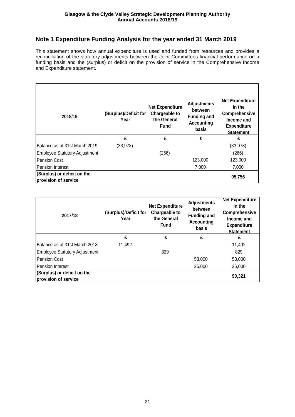# **Note 1 Expenditure Funding Analysis for the year ended 31 March 2019**

This statement shows how annual expenditure is used and funded from resources and provides a reconciliation of the statutory adjustments between the Joint Committees financial performance on a funding basis and the (surplus) or deficit on the provision of service in the Comprehensive Income and Expenditure statement.

| 2018/19                                             | (Surplus)/Deficit for<br>Year | <b>Net Expenditure</b><br>Chargeable to<br>the General<br><b>Fund</b> | <b>Adjustments</b><br>between<br><b>Funding and</b><br><b>Accounting</b><br>basis | <b>Net Expenditure</b><br>in the<br>Comprehensive<br>Income and<br><b>Expenditure</b><br><b>Statement</b> |
|-----------------------------------------------------|-------------------------------|-----------------------------------------------------------------------|-----------------------------------------------------------------------------------|-----------------------------------------------------------------------------------------------------------|
|                                                     | £                             | £                                                                     | £                                                                                 | £                                                                                                         |
| Balance as at 31st March 2019                       | (33, 978)                     |                                                                       |                                                                                   | (33, 978)                                                                                                 |
| Employee Statutory Adjustment                       |                               | (266)                                                                 |                                                                                   | (266)                                                                                                     |
| <b>Pension Cost</b>                                 |                               |                                                                       | 123,000                                                                           | 123,000                                                                                                   |
| <b>Pension Interest</b>                             |                               |                                                                       | 7,000                                                                             | 7,000                                                                                                     |
| (Surplus) or deficit on the<br>provision of service |                               |                                                                       |                                                                                   | 95,756                                                                                                    |

| 2017/18                                             | (Surplus)/Deficit for<br>Year | <b>Net Expenditure</b><br>Chargeable to<br>the General<br><b>Fund</b> | <b>Adjustments</b><br>between<br><b>Funding and</b><br>Accounting<br>basis | <b>Net Expenditure</b><br>in the<br>Comprehensive<br>Income and<br><b>Expenditure</b><br><b>Statement</b> |
|-----------------------------------------------------|-------------------------------|-----------------------------------------------------------------------|----------------------------------------------------------------------------|-----------------------------------------------------------------------------------------------------------|
|                                                     | £                             | £                                                                     | £                                                                          | £                                                                                                         |
| Balance as at 31st March 2018                       | 11,492                        |                                                                       |                                                                            | 11,492                                                                                                    |
| <b>Employee Statutory Adjustment</b>                |                               | 829                                                                   |                                                                            | 829                                                                                                       |
| <b>Pension Cost</b>                                 |                               |                                                                       | 53,000                                                                     | 53,000                                                                                                    |
| Pension Interest                                    |                               |                                                                       | 25,000                                                                     | 25,000                                                                                                    |
| (Surplus) or deficit on the<br>provision of service |                               |                                                                       |                                                                            | 90,321                                                                                                    |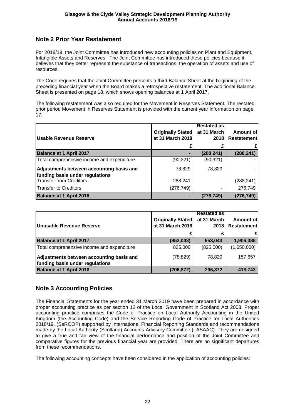# **Note 2 Prior Year Restatement**

For 2018/19, the Joint Committee has introduced new accounting policies on Plant and Equipment, Intangible Assets and Reserves. The Joint Committee has introduced these policies because it believes that they better represent the substance of transactions, the operation of assets and use of resources.

The Code requires that the Joint Committee presents a third Balance Sheet at the beginning of the preceding financial year when the Board makes a retrospective restatement. The additional Balance Sheet is presented on page 18, which shows opening balances at 1 April 2017.

The following restatement was also required for the Movement in Reserves Statement. The restated prior period Movement in Reserves Statement is provided with the current year information on page 17.

| <b>Usable Revenue Reserve</b>                                               | <b>Originally Stated</b><br>at 31 March 2018 | <b>Restated as</b><br>at 31 March<br>2018 | Amount of<br><b>Restatement</b> |
|-----------------------------------------------------------------------------|----------------------------------------------|-------------------------------------------|---------------------------------|
| <b>Balance at 1 April 2017</b>                                              |                                              | (288, 241)                                | (288, 241)                      |
| Total comprehensive income and expenditure                                  | (90,321)                                     | (90, 321)                                 |                                 |
| Adjustments between accounting basis and<br>funding basis under regulations | 78,829                                       | 78,829                                    |                                 |
| <b>Transfer from Creditors</b>                                              | 288,241                                      | ۰                                         | (288, 241)                      |
| <b>Transfer to Creditors</b>                                                | (276, 749)                                   | ۰                                         | 276,749                         |
| <b>Balance at 1 April 2018</b>                                              |                                              | (276, 749)                                | (276, 749)                      |

| Unusable Revenue Reserve                                                    | <b>Originally Stated</b><br>at 31 March 2018 | <b>Restated asl</b><br>at 31 March<br><b>2018</b> | Amount of<br>Restatement |
|-----------------------------------------------------------------------------|----------------------------------------------|---------------------------------------------------|--------------------------|
| <b>Balance at 1 April 2017</b>                                              | (953, 043)                                   | 953,043                                           | 1,906,086                |
| Total comprehensive income and expenditure                                  | 825,000                                      | (825,000)                                         | (1,650,000)              |
| Adjustments between accounting basis and<br>funding basis under regulations | (78, 829)                                    | 78,829                                            | 157,657                  |
| <b>Balance at 1 April 2018</b>                                              | (206, 872)                                   | 206,872                                           | 413,743                  |

# **Note 3 Accounting Policies**

The Financial Statements for the year ended 31 March 2019 have been prepared in accordance with proper accounting practice as per section 12 of the Local Government in Scotland Act 2003. Proper accounting practice comprises the Code of Practice on Local Authority Accounting in the United Kingdom (the Accounting Code) and the Service Reporting Code of Practice for Local Authorities 2018/19, (SeRCOP) supported by International Financial Reporting Standards and recommendations made by the Local Authority (Scotland) Accounts Advisory Committee (LASAAC). They are designed to give a true and fair view of the financial performance and position of the Joint Committee and comparative figures for the previous financial year are provided. There are no significant departures from these recommendations.

The following accounting concepts have been considered in the application of accounting policies: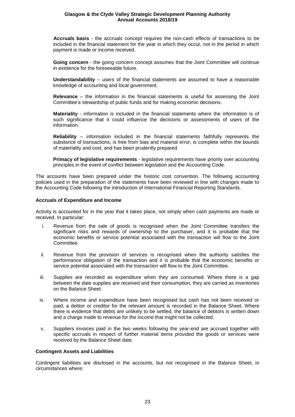**Accruals basis** - the accruals concept requires the non-cash effects of transactions to be included in the financial statement for the year in which they occur, not in the period in which payment is made or income received.

**Going concern** - the going concern concept assumes that the Joint Committee will continue in existence for the foreseeable future.

**Understandability** – users of the financial statements are assumed to have a reasonable knowledge of accounting and local government.

**Relevance** – the information in the financial statements is useful for assessing the Joint Committee's stewardship of public funds and for making economic decisions.

**Materiality** - information is included in the financial statements where the information is of such significance that it could influence the decisions or assessments of users of the information.

**Reliability** – information included in the financial statements faithfully represents the substance of transactions, is free from bias and material error, is complete within the bounds of materiality and cost, and has been prudently prepared.

**Primacy of legislative requirements** - legislative requirements have priority over accounting principles in the event of conflict between legislation and the Accounting Code.

The accounts have been prepared under the historic cost convention. The following accounting policies used in the preparation of the statements have been reviewed in line with changes made to the Accounting Code following the introduction of International Financial Reporting Standards.

#### **Accruals of Expenditure and Income**

Activity is accounted for in the year that it takes place, not simply when cash payments are made or received. In particular:

- i. Revenue from the sale of goods is recognised when the Joint Committee transfers the significant risks and rewards of ownership to the purchaser, and it is probable that the economic benefits or service potential associated with the transaction will flow to the Joint Committee.
- ii. Revenue from the provision of services is recognised when the authority satisfies the performance obligation of the transaction and it is probable that the economic benefits or service potential associated with the transaction will flow to the Joint Committee.
- iii. Supplies are recorded as expenditure when they are consumed. Where there is a gap between the date supplies are received and their consumption, they are carried as inventories on the Balance Sheet.
- iv. Where income and expenditure have been recognised but cash has not been received or paid, a debtor or creditor for the relevant amount is recorded in the Balance Sheet. Where there is evidence that debts are unlikely to be settled, the balance of debtors is written down and a charge made to revenue for the income that might not be collected.
- v. Suppliers invoices paid in the two weeks following the year-end are accrued together with specific accruals in respect of further material items provided the goods or services were received by the Balance Sheet date.

#### **Contingent Assets and Liabilities**

Contingent liabilities are disclosed in the accounts, but not recognised in the Balance Sheet, in circumstances where: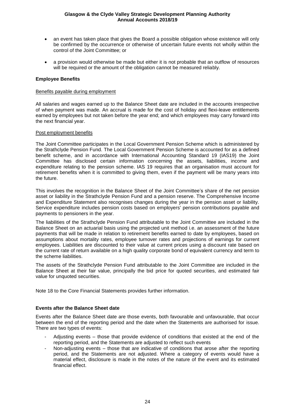- an event has taken place that gives the Board a possible obligation whose existence will only be confirmed by the occurrence or otherwise of uncertain future events not wholly within the control of the Joint Committee; or
- a provision would otherwise be made but either it is not probable that an outflow of resources will be required or the amount of the obligation cannot be measured reliably.

### **Employee Benefits**

#### Benefits payable during employment

All salaries and wages earned up to the Balance Sheet date are included in the accounts irrespective of when payment was made. An accrual is made for the cost of holiday and flexi-leave entitlements earned by employees but not taken before the year end; and which employees may carry forward into the next financial year.

#### Post employment benefits

The Joint Committee participates in the Local Government Pension Scheme which is administered by the Strathclyde Pension Fund. The Local Government Pension Scheme is accounted for as a defined benefit scheme, and in accordance with International Accounting Standard 19 (IAS19) the Joint Committee has disclosed certain information concerning the assets, liabilities, income and expenditure relating to the pension scheme. IAS 19 requires that an organisation must account for retirement benefits when it is committed to giving them, even if the payment will be many years into the future.

This involves the recognition in the Balance Sheet of the Joint Committee's share of the net pension asset or liability in the Strathclyde Pension Fund and a pension reserve. The Comprehensive Income and Expenditure Statement also recognises changes during the year in the pension asset or liability. Service expenditure includes pension costs based on employers' pension contributions payable and payments to pensioners in the year.

The liabilities of the Strathclyde Pension Fund attributable to the Joint Committee are included in the Balance Sheet on an actuarial basis using the projected unit method i.e. an assessment of the future payments that will be made in relation to retirement benefits earned to date by employees, based on assumptions about mortality rates, employee turnover rates and projections of earnings for current employees. Liabilities are discounted to their value at current prices using a discount rate based on the current rate of return available on a high quality corporate bond of equivalent currency and term to the scheme liabilities.

The assets of the Strathclyde Pension Fund attributable to the Joint Committee are included in the Balance Sheet at their fair value, principally the bid price for quoted securities, and estimated fair value for unquoted securities.

Note 18 to the Core Financial Statements provides further information.

#### **Events after the Balance Sheet date**

Events after the Balance Sheet date are those events, both favourable and unfavourable, that occur between the end of the reporting period and the date when the Statements are authorised for issue. There are two types of events:

- Adjusting events those that provide evidence of conditions that existed at the end of the reporting period, and the Statements are adjusted to reflect such events
- Non-adjusting events those that are indicative of conditions that arose after the reporting period, and the Statements are not adjusted. Where a category of events would have a material effect, disclosure is made in the notes of the nature of the event and its estimated financial effect.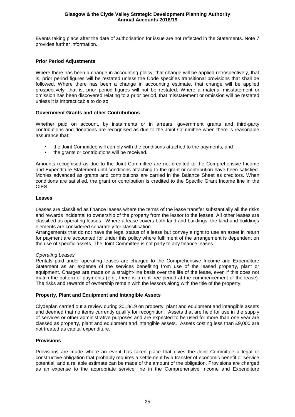Events taking place after the date of authorisation for issue are not reflected in the Statements. Note 7 provides further information.

### **Prior Period Adjustments**

Where there has been a change in accounting policy, that change will be applied retrospectively, that is, prior period figures will be restated unless the Code specifies transitional provisions that shall be followed. Where there has been a change in accounting estimate, that change will be applied prospectively, that is, prior period figures will not be restated. Where a material misstatement or omission has been discovered relating to a prior period, that misstatement or omission will be restated unless it is impracticable to do so.

#### **Government Grants and other Contributions**

Whether paid on account, by instalments or in arrears, government grants and third-party contributions and donations are recognised as due to the Joint Committee when there is reasonable assurance that:

- the Joint Committee will comply with the conditions attached to the payments, and
- the grants or contributions will be received.

Amounts recognised as due to the Joint Committee are not credited to the Comprehensive Income and Expenditure Statement until conditions attaching to the grant or contribution have been satisfied. Monies advanced as grants and contributions are carried in the Balance Sheet as creditors. When conditions are satisfied, the grant or contribution is credited to the Specific Grant Income line in the CIES.

#### **Leases**

Leases are classified as finance leases where the terms of the lease transfer substantially all the risks and rewards incidental to ownership of the property from the lessor to the lessee. All other leases are classified as operating leases. Where a lease covers both land and buildings, the land and buildings elements are considered separately for classification.

Arrangements that do not have the legal status of a lease but convey a right to use an asset in return for payment are accounted for under this policy where fulfilment of the arrangement is dependent on the use of specific assets. The Joint Committee is not party to any finance leases.

#### *Operating Leases*

Rentals paid under operating leases are charged to the Comprehensive Income and Expenditure Statement as an expense of the services benefiting from use of the leased property, plant or equipment. Charges are made on a straight-line basis over the life of the lease, even if this does not match the pattern of payments (e.g., there is a rent-free period at the commencement of the lease). The risks and rewards of ownership remain with the lessors along with the title of the property.

### **Property, Plant and Equipment and Intangible Assets**

Clydeplan carried out a review during 2018/19 on property, plant and equipment and intangible assets and deemed that no items currently qualify for recognition. Assets that are held for use in the supply of services or other administrative purposes and are expected to be used for more than one year are classed as property, plant and equipment and intangible assets. Assets costing less than £9,000 are not treated as capital expenditure.

## **Provisions**

Provisions are made where an event has taken place that gives the Joint Committee a legal or constructive obligation that probably requires a settlement by a transfer of economic benefit or service potential, and a reliable estimate can be made of the amount of the obligation. Provisions are charged as an expense to the appropriate service line in the Comprehensive Income and Expenditure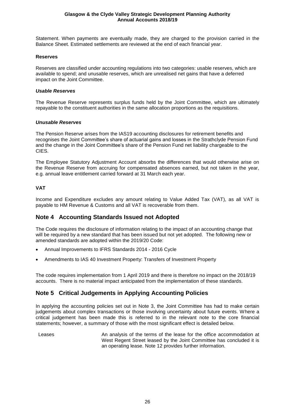Statement. When payments are eventually made, they are charged to the provision carried in the Balance Sheet. Estimated settlements are reviewed at the end of each financial year.

## **Reserves**

Reserves are classified under accounting regulations into two categories: usable reserves, which are available to spend; and unusable reserves, which are unrealised net gains that have a deferred impact on the Joint Committee.

#### *Usable Reserves*

The Revenue Reserve represents surplus funds held by the Joint Committee, which are ultimately repayable to the constituent authorities in the same allocation proportions as the requisitions.

#### *Unusable Reserves*

The Pension Reserve arises from the IAS19 accounting disclosures for retirement benefits and recognises the Joint Committee's share of actuarial gains and losses in the Strathclyde Pension Fund and the change in the Joint Committee's share of the Pension Fund net liability chargeable to the CIES.

The Employee Statutory Adjustment Account absorbs the differences that would otherwise arise on the Revenue Reserve from accruing for compensated absences earned, but not taken in the year, e.g. annual leave entitlement carried forward at 31 March each year.

## **VAT**

Income and Expenditure excludes any amount relating to Value Added Tax (VAT), as all VAT is payable to HM Revenue & Customs and all VAT is recoverable from them.

## **Note 4 Accounting Standards Issued not Adopted**

The Code requires the disclosure of information relating to the impact of an accounting change that will be required by a new standard that has been issued but not yet adopted. The following new or amended standards are adopted within the 2019/20 Code:

- Annual Improvements to IFRS Standards 2014 2016 Cycle
- Amendments to IAS 40 Investment Property: Transfers of Investment Property

The code requires implementation from 1 April 2019 and there is therefore no impact on the 2018/19 accounts. There is no material impact anticipated from the implementation of these standards.

## **Note 5 Critical Judgements in Applying Accounting Policies**

In applying the accounting policies set out in Note 3, the Joint Committee has had to make certain judgements about complex transactions or those involving uncertainty about future events. Where a critical judgement has been made this is referred to in the relevant note to the core financial statements; however, a summary of those with the most significant effect is detailed below.

Leases **An analysis of the terms of the lease for the office accommodation at** West Regent Street leased by the Joint Committee has concluded it is an operating lease. Note 12 provides further information.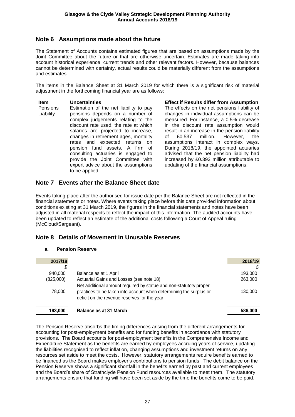## **Note 6 Assumptions made about the future**

The Statement of Accounts contains estimated figures that are based on assumptions made by the Joint Committee about the future or that are otherwise uncertain. Estimates are made taking into account historical experience, current trends and other relevant factors. However, because balances cannot be determined with certainty, actual results could be materially different from the assumptions and estimates.

The items in the Balance Sheet at 31 March 2019 for which there is a significant risk of material adjustment in the forthcoming financial year are as follows:

#### **Item Uncertainties Effect if Results differ from Assumption**

**Pensions** Liability Estimation of the net liability to pay pensions depends on a number of complex judgements relating to the discount rate used, the rate at which salaries are projected to increase, changes in retirement ages, mortality rates and expected returns on pension fund assets. A firm of consulting actuaries is engaged to provide the Joint Committee with expert advice about the assumptions to be applied.

The effects on the net pensions liability of changes in individual assumptions can be measured. For instance, a 0.5% decrease in the discount rate assumption would result in an increase in the pension liability of £0.537 million. However, the assumptions interact in complex ways. During 2018/19, the appointed actuaries advised that the net pension liability had increased by £0.393 million attributable to updating of the financial assumptions.

## **Note 7 Events after the Balance Sheet date**

Events taking place after the authorised for issue date per the Balance Sheet are not reflected in the financial statements or notes. Where events taking place before this date provided information about conditions existing at 31 March 2019, the figures in the financial statements and notes have been adjusted in all material respects to reflect the impact of this information. The audited accounts have been updated to reflect an estimate of the additional costs following a Court of Appeal ruling (McCloud/Sargeant).

## **Note 8 Details of Movement in Unusable Reserves**

## **a. Pension Reserve**

| 2017/18   |                                                                                                                    | 2018/19 |
|-----------|--------------------------------------------------------------------------------------------------------------------|---------|
|           |                                                                                                                    |         |
| 940,000   | Balance as at 1 April                                                                                              | 193,000 |
| (825,000) | Actuarial Gains and Losses (see note 18)<br>Net additional amount required by statue and non-statutory proper      | 263,000 |
| 78,000    | practices to be taken into account when determining the surplus or<br>deficit on the revenue reserves for the year | 130,000 |
| 193,000   | Balance as at 31 March                                                                                             | 586,000 |

The Pension Reserve absorbs the timing differences arising from the different arrangements for accounting for post-employment benefits and for funding benefits in accordance with statutory provisions. The Board accounts for post-employment benefits in the Comprehensive Income and Expenditure Statement as the benefits are earned by employees accruing years of service, updating the liabilities recognised to reflect inflation, changing assumptions and investment returns on any resources set aside to meet the costs. However, statutory arrangements require benefits earned to be financed as the Board makes employer's contributions to pension funds. The debit balance on the Pension Reserve shows a significant shortfall in the benefits earned by past and current employees and the Board's share of Strathclyde Pension Fund resources available to meet them. The statutory arrangements ensure that funding will have been set aside by the time the benefits come to be paid.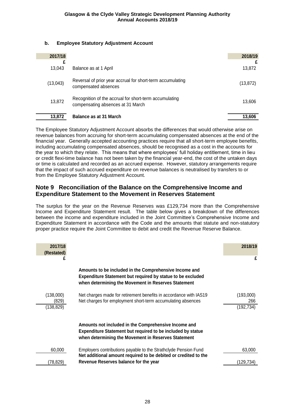## **b. Employee Statutory Adjustment Account**

| 2017/18     |                                                                                             | 2018/19   |
|-------------|---------------------------------------------------------------------------------------------|-----------|
| £<br>13,043 | Balance as at 1 April                                                                       | 13,872    |
| (13,043)    | Reversal of prior year accrual for short-term accumulating<br>compensated absences          | (13, 872) |
| 13,872      | Recognition of the accrual for short-term accumulating<br>compensating absences at 31 March | 13,606    |
| 13,872      | <b>Balance as at 31 March</b>                                                               | 13.606    |

The Employee Statutory Adjustment Account absorbs the differences that would otherwise arise on revenue balances from accruing for short-term accumulating compensated absences at the end of the financial year. Generally accepted accounting practices require that all short-term employee benefits, including accumulating compensated absences, should be recognised as a cost in the accounts for the year to which they relate. This means that where employees' full holiday entitlement, time in lieu or credit flexi-time balance has not been taken by the financial year-end, the cost of the untaken days or time is calculated and recorded as an accrued expense. However, statutory arrangements require that the impact of such accrued expenditure on revenue balances is neutralised by transfers to or from the Employee Statutory Adjustment Account.

## **Note 9 Reconciliation of the Balance on the Comprehensive Income and Expenditure Statement to the Movement in Reserves Statement**

The surplus for the year on the Revenue Reserves was £129,734 more than the Comprehensive Income and Expenditure Statement result. The table below gives a breakdown of the differences between the income and expenditure included in the Joint Committee's Comprehensive Income and Expenditure Statement in accordance with the Code and the amounts that statute and non-statutory proper practice require the Joint Committee to debit and credit the Revenue Reserve Balance.

| 2017/18<br>(Restated) |                                                                                                                                                                                   | 2018/19          |
|-----------------------|-----------------------------------------------------------------------------------------------------------------------------------------------------------------------------------|------------------|
|                       |                                                                                                                                                                                   | £                |
|                       | Amounts to be included in the Comprehensive Income and<br>Expenditure Statement but required by statue to be excluded<br>when determining the Movement in Reserves Statement      |                  |
| (138,000)             | Net charges made for retirement benefits in accordance with IAS19                                                                                                                 | (193,000)        |
| (829)<br>(138, 829)   | Net charges for employment short-term accumulating absences                                                                                                                       | 266<br>(192,734) |
|                       |                                                                                                                                                                                   |                  |
|                       | Amounts not included in the Comprehensive Income and<br><b>Expenditure Statement but required to be included by statue</b><br>when determining the Movement in Reserves Statement |                  |
| 60,000                | Employers contributions payable to the Strathclyde Pension Fund<br>Net additional amount required to be debited or credited to the                                                | 63,000           |
| (78, 829)             | Revenue Reserves balance for the year                                                                                                                                             | (129,734)        |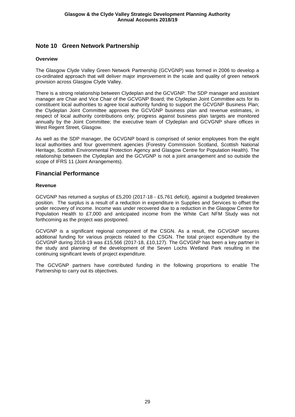## **Note 10 Green Network Partnership**

### **Overview**

The Glasgow Clyde Valley Green Network Partnership (GCVGNP) was formed in 2006 to develop a co-ordinated approach that will deliver major improvement in the scale and quality of green network provision across Glasgow Clyde Valley.

There is a strong relationship between Clydeplan and the GCVGNP: The SDP manager and assistant manager are Chair and Vice Chair of the GCVGNP Board; the Clydeplan Joint Committee acts for its constituent local authorities to agree local authority funding to support the GCVGNP Business Plan; the Clydeplan Joint Committee approves the GCVGNP business plan and revenue estimates, in respect of local authority contributions only; progress against business plan targets are monitored annually by the Joint Committee; the executive team of Clydeplan and GCVGNP share offices in West Regent Street, Glasgow.

As well as the SDP manager, the GCVGNP board is comprised of senior employees from the eight local authorities and four government agencies (Forestry Commission Scotland, Scottish National Heritage, Scottish Environmental Protection Agency and Glasgow Centre for Population Health). The relationship between the Clydeplan and the GCVGNP is not a joint arrangement and so outside the scope of IFRS 11 (Joint Arrangements).

## **Financial Performance**

#### **Revenue**

GCVGNP has returned a surplus of £5,200 (2017-18 - £5,761 deficit), against a budgeted breakeven position. The surplus is a result of a reduction in expenditure in Supplies and Services to offset the under recovery of income. Income was under recovered due to a reduction in the Glasgow Centre for Population Health to £7,000 and anticipated income from the White Cart NFM Study was not forthcoming as the project was postponed.

GCVGNP is a significant regional component of the CSGN. As a result, the GCVGNP secures additional funding for various projects related to the CSGN. The total project expenditure by the GCVGNP during 2018-19 was £15,566 (2017-18, £10,127). The GCVGNP has been a key partner in the study and planning of the development of the Seven Lochs Wetland Park resulting in the continuing significant levels of project expenditure.

The GCVGNP partners have contributed funding in the following proportions to enable The Partnership to carry out its objectives.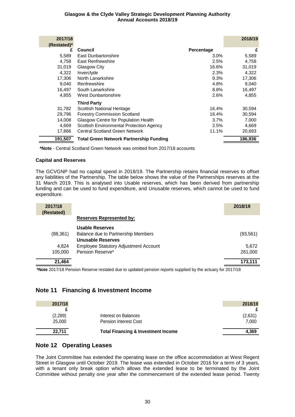| 2017/18     |                                                |            | 2018/19 |
|-------------|------------------------------------------------|------------|---------|
| (Restated)* |                                                |            |         |
| £           | Council                                        | Percentage | £       |
| 5,589       | East Dunbartonshire                            | $3.0\%$    | 5,589   |
| 4.758       | East Renfrewshire                              | 2.5%       | 4,758   |
| 31,019      | Glasgow City                                   | 16.6%      | 31,019  |
| 4,322       | Invercivde                                     | 2.3%       | 4,322   |
| 17,306      | North Lanarkshire                              | 9.3%       | 17,306  |
| 9,040       | Renfrewshire                                   | 4.8%       | 9,040   |
| 16,497      | South Lanarkshire                              | 8.8%       | 16,497  |
| 4.855       | <b>West Dunbartonshire</b>                     | 2.6%       | 4,855   |
|             | Third Party                                    |            |         |
| 31,782      | Scottish National Heritage                     | 16.4%      | 30,594  |
| 29,796      | <b>Forestry Commission Scotland</b>            | 16.4%      | 30,594  |
| 14,008      | Glasgow Centre for Population Health           | 3.7%       | 7,000   |
| 4,669       | Scottish Environmental Protection Agency       | 2.5%       | 4,669   |
| 17,866      | <b>Central Scotland Green Network</b>          | 11.1%      | 20,693  |
| 191,507     | <b>Total Green Network Partnership Funding</b> |            | 186,936 |

**\*Note** - Central Scotland Green Network was omitted from 2017/18 accounts

## **Capital and Reserves**

The GCVGNP had no capital spend in 2018/19. The Partnership retains financial reserves to offset any liabilities of the Partnership. The table below shows the value of the Partnerships reserves at the 31 March 2019. This is analysed into Usable reserves, which has been derived from partnership funding and can be used to fund expenditure, and Unusable reserves, which cannot be used to fund expenditure.

| 2017/18<br>(Restated) |                                              | 2018/19   |
|-----------------------|----------------------------------------------|-----------|
|                       | <b>Reserves Represented by:</b>              |           |
|                       | <b>Usable Reserves</b>                       |           |
| (88, 361)             | Balance due to Partnership Members           | (93, 561) |
|                       | <b>Unusable Reserves</b>                     |           |
| 4.824                 | <b>Employee Statutory Adjustment Account</b> | 5,672     |
| 105.000               | Pension Reserve*                             | 261,000   |
| 21,464                |                                              | 173,111   |

**\*Note** 2017/18 Pension Reserve restated due to updated pension reports supplied by the actuary for 2017/18

## **Note 11 Financing & Investment Income**

| 2017/18  |                                                | 2018/19 |
|----------|------------------------------------------------|---------|
|          |                                                |         |
| (2, 289) | Interest on Balances                           | (2,631) |
| 25,000   | <b>Pension Interest Cost</b>                   | 7.000   |
| 22.711   | <b>Total Financing &amp; Investment Income</b> | 4.369   |

## **Note 12 Operating Leases**

The Joint Committee has extended the operating lease on the office accommodation at West Regent Street in Glasgow until October 2019. The lease was extended in October 2016 for a term of 3 years, with a tenant only break option which allows the extended lease to be terminated by the Joint Committee without penalty one year after the commencement of the extended lease period. Twenty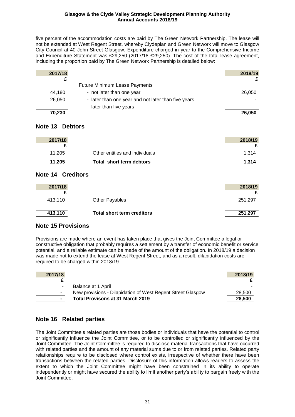five percent of the accommodation costs are paid by The Green Network Partnership. The lease will not be extended at West Regent Street, whereby Clydeplan and Green Network will move to Glasgow City Council at 40 John Street Glasgow. Expenditure charged in year to the Comprehensive Income and Expenditure Statement was £29,250 (2017/18 £29,250). The cost of the total lease agreement, including the proportion paid by The Green Network Partnership is detailed below:

| 2017/18 |                                                     | 2018/19 |
|---------|-----------------------------------------------------|---------|
|         |                                                     |         |
|         | <b>Future Minimum Lease Payments</b>                |         |
| 44,180  | - not later than one year                           | 26,050  |
| 26,050  | - later than one year and not later than five years |         |
|         | - later than five years                             |         |
| 70,230  |                                                     | 26,050  |

## **Note 13 Debtors**

| 2017/18 |                                | 2018/19 |
|---------|--------------------------------|---------|
|         |                                |         |
| 11.205  | Other entities and individuals | 1.314   |
| 11,205  | Total short term debtors       | 1.314   |

## **Note 14 Creditors**

| 2017/18 |                                   | 2018/19 |
|---------|-----------------------------------|---------|
| 413,110 | <b>Other Payables</b>             | 251,297 |
| 413,110 | <b>Total short term creditors</b> | 251,297 |

## **Note 15 Provisions**

Provisions are made where an event has taken place that gives the Joint Committee a legal or constructive obligation that probably requires a settlement by a transfer of economic benefit or service potential, and a reliable estimate can be made of the amount of the obligation. In 2018/19 a decision was made not to extend the lease at West Regent Street, and as a result, dilapidation costs are required to be charged within 2018/19.

| 2017/18        |                                                             | 2018/19 |
|----------------|-------------------------------------------------------------|---------|
|                |                                                             |         |
|                | Balance at 1 April                                          |         |
| $\blacksquare$ | New provisions - Dilapidation of West Regent Street Glasgow | 28,500  |
| $\blacksquare$ | <b>Total Provisons at 31 March 2019</b>                     | 28,500  |

# **Note 16 Related parties**

The Joint Committee's related parties are those bodies or individuals that have the potential to control or significantly influence the Joint Committee, or to be controlled or significantly influenced by the Joint Committee. The Joint Committee is required to disclose material transactions that have occurred with related parties and the amount of any material sums due to or from related parties. Related party relationships require to be disclosed where control exists, irrespective of whether there have been transactions between the related parties. Disclosure of this information allows readers to assess the extent to which the Joint Committee might have been constrained in its ability to operate independently or might have secured the ability to limit another party's ability to bargain freely with the Joint Committee.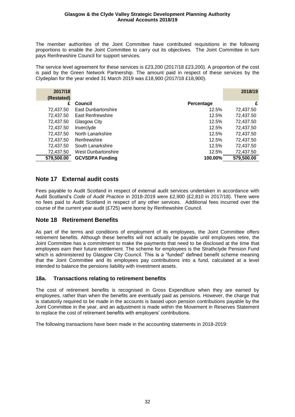The member authorities of the Joint Committee have contributed requisitions in the following proportions to enable the Joint Committee to carry out its objectives. The Joint Committee in turn pays Renfrewshire Council for support services.

The service level agreement for these services is £23,200 (2017/18 £23,200). A proportion of the cost is paid by the Green Network Partnership. The amount paid in respect of these services by the Clydeplan for the year ended 31 March 2019 was £18,900 (2017/18 £18,900).

| 2017/18    |                            |            | 2018/19    |
|------------|----------------------------|------------|------------|
| (Restated) |                            |            |            |
| £          | Council                    | Percentage | £          |
| 72,437.50  | <b>East Dunbartonshire</b> | 12.5%      | 72,437.50  |
| 72,437.50  | East Renfrewshire          | 12.5%      | 72,437.50  |
| 72,437.50  | Glasgow City               | 12.5%      | 72,437.50  |
| 72,437.50  | Inverclyde                 | 12.5%      | 72,437.50  |
| 72,437.50  | North Lanarkshire          | 12.5%      | 72,437.50  |
| 72,437.50  | Renfrewshire               | 12.5%      | 72,437.50  |
| 72,437.50  | South Lanarkshire          | 12.5%      | 72,437.50  |
| 72,437.50  | West Dunbartonshire        | 12.5%      | 72,437.50  |
| 579,500.00 | <b>GCVSDPA Funding</b>     | 100.00%    | 579,500.00 |

## **Note 17 External audit costs**

Fees payable to Audit Scotland in respect of external audit services undertaken in accordance with Audit Scotland's *Code of Audit Practice* in 2018-2019 were £2,900 (£2,810 in 2017/18). There were no fees paid to Audit Scotland in respect of any other services. Additional fees incurred over the course of the current year audit (£725) were borne by Renfrewshire Council.

## **Note 18 Retirement Benefits**

As part of the terms and conditions of employment of its employees, the Joint Committee offers retirement benefits. Although these benefits will not actually be payable until employees retire, the Joint Committee has a commitment to make the payments that need to be disclosed at the time that employees earn their future entitlement. The scheme for employees is the Strathclyde Pension Fund which is administered by Glasgow City Council. This is a "funded" defined benefit scheme meaning that the Joint Committee and its employees pay contributions into a fund, calculated at a level intended to balance the pensions liability with investment assets.

## **18a. Transactions relating to retirement benefits**

The cost of retirement benefits is recognised in Gross Expenditure when they are earned by employees, rather than when the benefits are eventually paid as pensions. However, the charge that is statutorily required to be made in the accounts is based upon pension contributions payable by the Joint Committee in the year, and an adjustment is made within the Movement in Reserves Statement to replace the cost of retirement benefits with employers' contributions.

The following transactions have been made in the accounting statements in 2018-2019: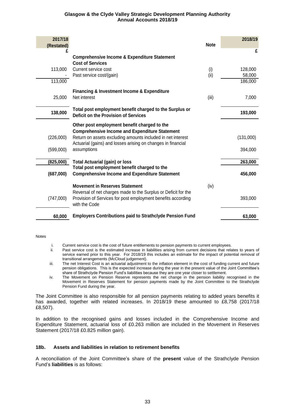| 2017/18<br>(Restated)  |                                                                                                                                                                                                                                                     | <b>Note</b> | 2018/19                      |
|------------------------|-----------------------------------------------------------------------------------------------------------------------------------------------------------------------------------------------------------------------------------------------------|-------------|------------------------------|
| £                      | <b>Comprehensive Income &amp; Expenditure Statement</b><br><b>Cost of Services</b>                                                                                                                                                                  |             | £                            |
| 113,000<br>113,000     | Current service cost<br>Past service cost/(gain)                                                                                                                                                                                                    | (i)<br>(ii) | 128,000<br>58,000<br>186,000 |
| 25,000                 | <b>Financing &amp; Investment Income &amp; Expenditure</b><br>Net interest                                                                                                                                                                          | (iii)       | 7,000                        |
| 138,000                | Total post employment benefit charged to the Surplus or<br>Deficit on the Provision of Services                                                                                                                                                     |             | 193,000                      |
| (226,000)<br>(599,000) | Other post employment benefit charged to the<br><b>Comprehensive Income and Expenditure Statement</b><br>Return on assets excluding amounts included in net interest<br>Actuarial (gains) and losses arising on changes in financial<br>assumptions |             | (131,000)<br>394,000         |
| (825,000)              | <b>Total Actuarial (gain) or loss</b>                                                                                                                                                                                                               |             | 263,000                      |
| (687,000)              | Total post employment benefit charged to the<br><b>Comprehensive Income and Expenditure Statement</b>                                                                                                                                               |             | 456,000                      |
| (747,000)              | <b>Movement in Reserves Statement</b><br>Reversal of net charges made to the Surplus or Deficit for the<br>Provision of Services for post employment benefits according<br>with the Code                                                            | (iv)        | 393,000                      |
| 60,000                 | <b>Employers Contributions paid to Strathclyde Pension Fund</b>                                                                                                                                                                                     |             | 63,000                       |

#### Notes

- i. Current service cost is the cost of future entitlements to pension payments to current employees.
- ii. Past service cost is the estimated increase in liabilities arising from current decisions that relates to years of service earned prior to this year. For 2018/19 this includes an estimate for the impact of potential removal of transitional arrangements (McCloud judgement).
- iii. The net Interest Cost is an actuarial adjustment to the inflation element in the cost of funding current and future pension obligations. This is the expected increase during the year in the present value of the Joint Committee's share of Strathclyde Pension Fund's liabilities because they are one year closer to settlement.
- iv. The Movement on Pension Reserve represents the net change in the pension liability recognised in the Movement in Reserves Statement for pension payments made by the Joint Committee to the Strathclyde Pension Fund during the year.

The Joint Committee is also responsible for all pension payments relating to added years benefits it has awarded, together with related increases. In 2018/19 these amounted to £8,758 (2017/18) £8,507).

In addition to the recognised gains and losses included in the Comprehensive Income and Expenditure Statement, actuarial loss of £0.263 million are included in the Movement in Reserves Statement (2017/18 £0.825 million gain).

#### **18b. Assets and liabilities in relation to retirement benefits**

A reconciliation of the Joint Committee's share of the **present** value of the Strathclyde Pension Fund's **liabilities** is as follows: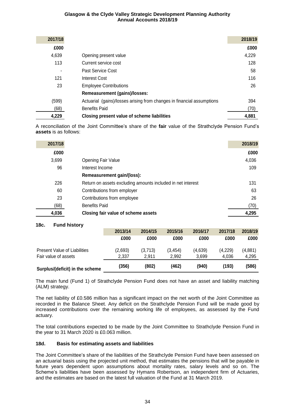| 2017/18 |                                                                        | 2018/19 |
|---------|------------------------------------------------------------------------|---------|
| £000    |                                                                        | £000    |
| 4,639   | Opening present value                                                  | 4,229   |
| 113     | Current service cost                                                   | 128     |
| ٠       | Past Service Cost                                                      | 58      |
| 121     | Interest Cost                                                          | 116     |
| 23      | <b>Employee Contributions</b>                                          | 26      |
|         | <b>Remeasurement (gains)/losses:</b>                                   |         |
| (599)   | Actuarial (gains)/losses arising from changes in financial assumptions | 394     |
| (68)    | <b>Benefits Paid</b>                                                   | (70)    |
| 4,229   | Closing present value of scheme liabilities                            | 4,881   |

A reconciliation of the Joint Committee's share of the **fair** value of the Strathclyde Pension Fund's **assets** is as follows:

| 2017/18 |                                                             | 2018/19 |
|---------|-------------------------------------------------------------|---------|
| £000    |                                                             | £000    |
| 3,699   | <b>Opening Fair Value</b>                                   | 4,036   |
| 96      | Interest Income                                             | 109     |
|         | Remeasurement gain/(loss):                                  |         |
| 226     | Return on assets excluding amounts included in net interest | 131     |
| 60      | Contributions from employer                                 | 63      |
| 23      | Contributions from employee                                 | 26      |
| (68)    | <b>Benefits Paid</b>                                        | (70)    |
| 4,036   | Closing fair value of scheme assets                         | 4,295   |

## **18c. Fund history**

| Surplus/(deficit) in the scheme     | (356)   | (802)   | (462)   | (940)   | (193)   | (586)   |
|-------------------------------------|---------|---------|---------|---------|---------|---------|
| Fair value of assets                | 2.337   | 2.911   | 2.992   | 3.699   | 4.036   | 4,295   |
| <b>Present Value of Liabilities</b> | (2,693) | (3,713) | (3.454) | (4,639) | (4,229) | (4,881) |
|                                     | £000    | £000    | £000    | £000    | £000    | £000    |
|                                     | 2013/14 | 2014/15 | 2015/16 | 2016/17 | 2017/18 | 2018/19 |

The main fund (Fund 1) of Strathclyde Pension Fund does not have an asset and liability matching (ALM) strategy.

The net liability of £0.586 million has a significant impact on the net worth of the Joint Committee as recorded in the Balance Sheet. Any deficit on the Strathclyde Pension Fund will be made good by increased contributions over the remaining working life of employees, as assessed by the Fund actuary.

The total contributions expected to be made by the Joint Committee to Strathclyde Pension Fund in the year to 31 March 2020 is £0.063 million.

### **18d. Basis for estimating assets and liabilities**

The Joint Committee's share of the liabilities of the Strathclyde Pension Fund have been assessed on an actuarial basis using the projected unit method, that estimates the pensions that will be payable in future years dependent upon assumptions about mortality rates, salary levels and so on. The Scheme's liabilities have been assessed by Hymans Robertson, an independent firm of Actuaries, and the estimates are based on the latest full valuation of the Fund at 31 March 2019.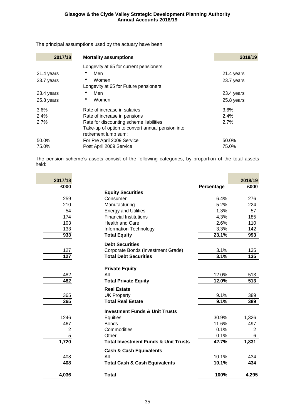The principal assumptions used by the actuary have been:

| 2017/18    | <b>Mortality assumptions</b>                     | 2018/19    |
|------------|--------------------------------------------------|------------|
|            | Longevity at 65 for current pensioners           |            |
| 21.4 years | Men                                              | 21.4 years |
| 23.7 years | Women                                            | 23.7 years |
|            | Longevity at 65 for Future pensioners            |            |
| 23.4 years | Men                                              | 23.4 years |
| 25.8 years | Women<br>۰                                       | 25.8 years |
| 3.6%       | Rate of increase in salaries                     | 3.6%       |
| 2.4%       | Rate of increase in pensions                     | 2.4%       |
| 2.7%       | Rate for discounting scheme liabilities          | 2.7%       |
|            | Take-up of option to convert annual pension into |            |
|            | retirement lump sum:                             |            |
| 50.0%      | For Pre April 2009 Service                       | 50.0%      |
| 75.0%      | Post April 2009 Service                          | 75.0%      |

The pension scheme's assets consist of the following categories, by proportion of the total assets held:

| 2017/18        |                                                 |            | 2018/19        |
|----------------|-------------------------------------------------|------------|----------------|
| £000           |                                                 | Percentage | £000           |
|                | <b>Equity Securities</b>                        |            |                |
| 259            | Consumer                                        | 6.4%       | 276            |
| 210            | Manufacturing                                   | 5.2%       | 224            |
| 54             | <b>Energy and Utilities</b>                     | 1.3%       | 57             |
| 174            | <b>Financial Institutions</b>                   | 4.3%       | 185            |
| 103            | <b>Health and Care</b>                          | 2.6%       | 110            |
| 133            | Information Technology                          | 3.3%       | 142            |
| 933            | <b>Total Equity</b>                             | 23.1%      | 993            |
|                | <b>Debt Securities</b>                          |            |                |
| 127            | Corporate Bonds (Investment Grade)              | 3.1%       | 135            |
| 127            | <b>Total Debt Securities</b>                    | 3.1%       | 135            |
|                | <b>Private Equity</b>                           |            |                |
| 482            | All                                             | 12.0%      | 513            |
| 482            | <b>Total Private Equity</b>                     | 12.0%      | 513            |
|                | <b>Real Estate</b>                              |            |                |
| 365            | <b>UK Property</b>                              | 9.1%       | 389            |
| 365            | <b>Total Real Estate</b>                        | 9.1%       | 389            |
|                | <b>Investment Funds &amp; Unit Trusts</b>       |            |                |
| 1246           | Equities                                        | 30.9%      | 1,326          |
| 467            | <b>Bonds</b>                                    | 11.6%      | 497            |
| $\overline{2}$ | Commodities                                     | 0.1%       | $\overline{2}$ |
| 5              | Other                                           | 0.1%       | 6              |
| 1,720          | <b>Total Investment Funds &amp; Unit Trusts</b> | 42.7%      | 1,831          |
|                | <b>Cash &amp; Cash Equivalents</b>              |            |                |
| 408            | All                                             | 10.1%      | 434            |
| 408            | <b>Total Cash &amp; Cash Equivalents</b>        | 10.1%      | 434            |
| 4,036          | <b>Total</b>                                    | 100%       | 4,295          |